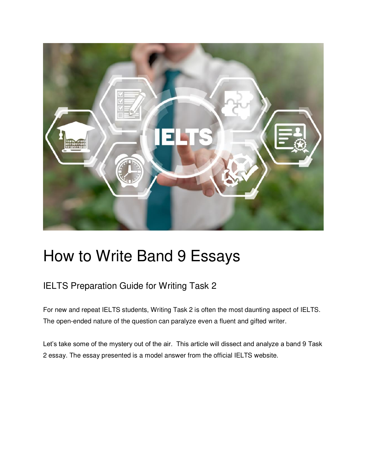

# How to Write Band 9 Essays

### IELTS Preparation Guide for Writing Task 2

For new and repeat IELTS students, Writing Task 2 is often the most daunting aspect of IELTS. The open-ended nature of the question can paralyze even a fluent and gifted writer.

Let's take some of the mystery out of the air. This article will dissect and analyze a band 9 Task 2 essay. The essay presented is a model answer from the official IELTS website.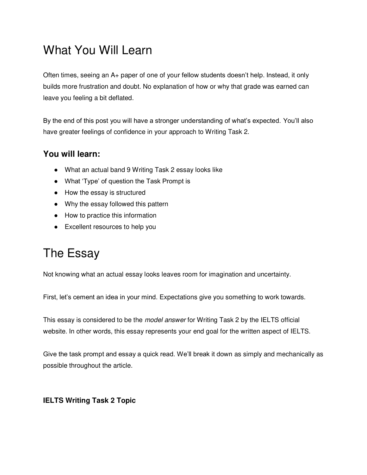## What You Will Learn

Often times, seeing an A+ paper of one of your fellow students doesn't help. Instead, it only builds more frustration and doubt. No explanation of how or why that grade was earned can leave you feeling a bit deflated.

By the end of this post you will have a stronger understanding of what's expected. You'll also have greater feelings of confidence in your approach to Writing Task 2.

#### **You will learn:**

- What an actual band 9 Writing Task 2 essay looks like
- What 'Type' of question the Task Prompt is
- How the essay is structured
- Why the essay followed this pattern
- How to practice this information
- Excellent resources to help you

## The Essay

Not knowing what an actual essay looks leaves room for imagination and uncertainty.

First, let's cement an idea in your mind. Expectations give you something to work towards.

This essay is considered to be the *model answer* for Writing Task 2 by the IELTS official website. In other words, this essay represents your end goal for the written aspect of IELTS.

Give the task prompt and essay a quick read. We'll break it down as simply and mechanically as possible throughout the article.

#### **IELTS Writing Task 2 Topic**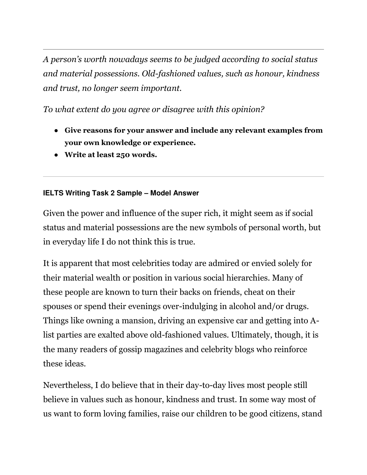*A person's worth nowadays seems to be judged according to social status and material possessions. Old-fashioned values, such as honour, kindness and trust, no longer seem important.* 

*To what extent do you agree or disagree with this opinion?* 

- **Give reasons for your answer and include any relevant examples from your own knowledge or experience.**
- **Write at least 250 words.**

#### **IELTS Writing Task 2 Sample – Model Answer**

Given the power and influence of the super rich, it might seem as if social status and material possessions are the new symbols of personal worth, but in everyday life I do not think this is true.

It is apparent that most celebrities today are admired or envied solely for their material wealth or position in various social hierarchies. Many of these people are known to turn their backs on friends, cheat on their spouses or spend their evenings over-indulging in alcohol and/or drugs. Things like owning a mansion, driving an expensive car and getting into Alist parties are exalted above old-fashioned values. Ultimately, though, it is the many readers of gossip magazines and celebrity blogs who reinforce these ideas.

Nevertheless, I do believe that in their day-to-day lives most people still believe in values such as honour, kindness and trust. In some way most of us want to form loving families, raise our children to be good citizens, stand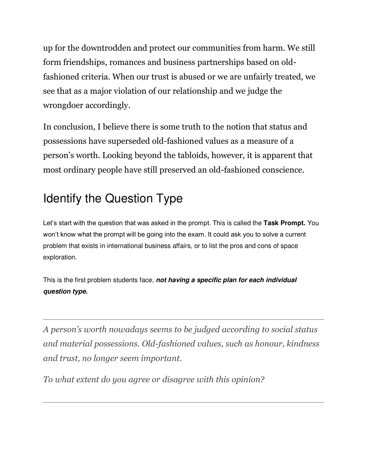up for the downtrodden and protect our communities from harm. We still form friendships, romances and business partnerships based on oldfashioned criteria. When our trust is abused or we are unfairly treated, we see that as a major violation of our relationship and we judge the wrongdoer accordingly.

In conclusion, I believe there is some truth to the notion that status and possessions have superseded old-fashioned values as a measure of a person's worth. Looking beyond the tabloids, however, it is apparent that most ordinary people have still preserved an old-fashioned conscience.

## Identify the Question Type

Let's start with the question that was asked in the prompt. This is called the **Task Prompt.** You won't know what the prompt will be going into the exam. It could ask you to solve a current problem that exists in international business affairs, or to list the pros and cons of space exploration.

This is the first problem students face, **not having a specific plan for each individual question type.**

*A person's worth nowadays seems to be judged according to social status and material possessions. Old-fashioned values, such as honour, kindness and trust, no longer seem important.* 

*To what extent do you agree or disagree with this opinion?*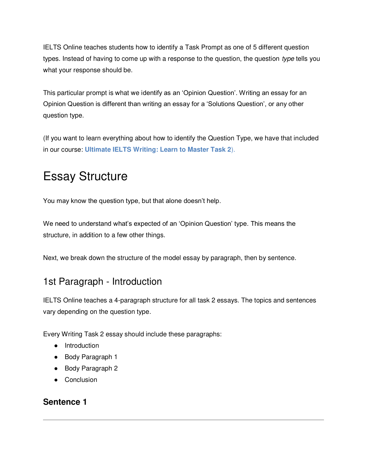IELTS Online teaches students how to identify a Task Prompt as one of 5 different question types. Instead of having to come up with a response to the question, the question type tells you what your response should be.

This particular prompt is what we identify as an 'Opinion Question'. Writing an essay for an Opinion Question is different than writing an essay for a 'Solutions Question', or any other question type.

(If you want to learn everything about how to identify the Question Type, we have that included in our course: **Ultimate IELTS Writing: Learn to Master Task 2**).

## Essay Structure

You may know the question type, but that alone doesn't help.

We need to understand what's expected of an 'Opinion Question' type. This means the structure, in addition to a few other things.

Next, we break down the structure of the model essay by paragraph, then by sentence.

### 1st Paragraph - Introduction

IELTS Online teaches a 4-paragraph structure for all task 2 essays. The topics and sentences vary depending on the question type.

Every Writing Task 2 essay should include these paragraphs:

- Introduction
- Body Paragraph 1
- Body Paragraph 2
- Conclusion

#### **Sentence 1**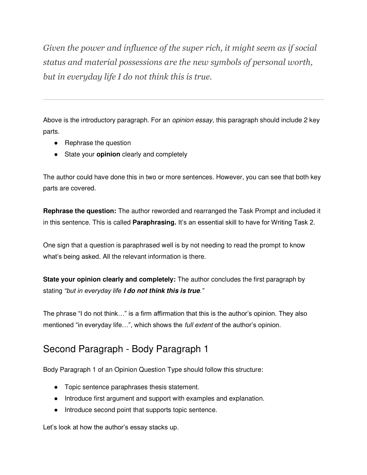*Given the power and influence of the super rich, it might seem as if social status and material possessions are the new symbols of personal worth, but in everyday life I do not think this is true.* 

Above is the introductory paragraph. For an *opinion essay*, this paragraph should include 2 key parts.

- Rephrase the question
- State your **opinion** clearly and completely

The author could have done this in two or more sentences. However, you can see that both key parts are covered.

**Rephrase the question:** The author reworded and rearranged the Task Prompt and included it in this sentence. This is called **Paraphrasing.** It's an essential skill to have for Writing Task 2.

One sign that a question is paraphrased well is by not needing to read the prompt to know what's being asked. All the relevant information is there.

**State your opinion clearly and completely:** The author concludes the first paragraph by stating *"but in everyday life* **I do not think this is true***."*

The phrase "I do not think…" is a firm affirmation that this is the author's opinion. They also mentioned "in everyday life...", which shows the *full extent* of the author's opinion.

### Second Paragraph - Body Paragraph 1

Body Paragraph 1 of an Opinion Question Type should follow this structure:

- Topic sentence paraphrases thesis statement.
- Introduce first argument and support with examples and explanation.
- Introduce second point that supports topic sentence.

Let's look at how the author's essay stacks up.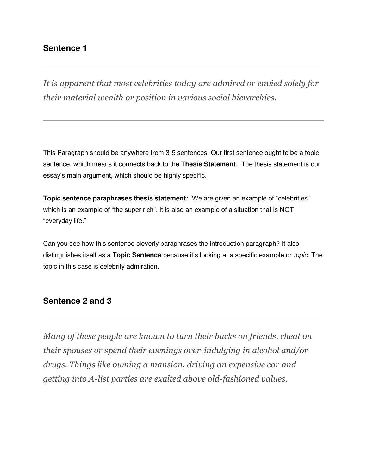#### **Sentence 1**

*It is apparent that most celebrities today are admired or envied solely for their material wealth or position in various social hierarchies.*

This Paragraph should be anywhere from 3-5 sentences. Our first sentence ought to be a topic sentence, which means it connects back to the **Thesis Statement**. The thesis statement is our essay's main argument, which should be highly specific.

**Topic sentence paraphrases thesis statement:** We are given an example of "celebrities" which is an example of "the super rich". It is also an example of a situation that is NOT "everyday life."

Can you see how this sentence cleverly paraphrases the introduction paragraph? It also distinguishes itself as a **Topic Sentence** because it's looking at a specific example or topic. The topic in this case is celebrity admiration.

#### **Sentence 2 and 3**

*Many of these people are known to turn their backs on friends, cheat on their spouses or spend their evenings over-indulging in alcohol and/or drugs. Things like owning a mansion, driving an expensive car and getting into A-list parties are exalted above old-fashioned values.*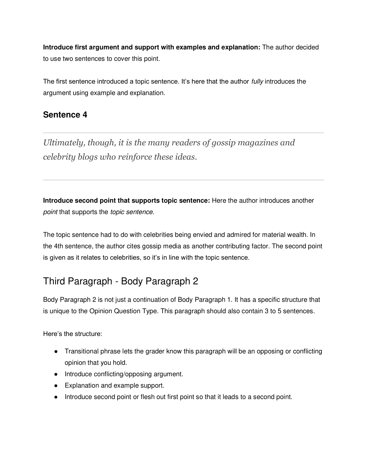**Introduce first argument and support with examples and explanation:** The author decided to use two sentences to cover this point.

The first sentence introduced a topic sentence. It's here that the author *fully* introduces the argument using example and explanation.

#### **Sentence 4**

*Ultimately, though, it is the many readers of gossip magazines and celebrity blogs who reinforce these ideas.*

**Introduce second point that supports topic sentence:** Here the author introduces another point that supports the topic sentence.

The topic sentence had to do with celebrities being envied and admired for material wealth. In the 4th sentence, the author cites gossip media as another contributing factor. The second point is given as it relates to celebrities, so it's in line with the topic sentence.

### Third Paragraph - Body Paragraph 2

Body Paragraph 2 is not just a continuation of Body Paragraph 1. It has a specific structure that is unique to the Opinion Question Type. This paragraph should also contain 3 to 5 sentences.

Here's the structure:

- Transitional phrase lets the grader know this paragraph will be an opposing or conflicting opinion that you hold.
- Introduce conflicting/opposing argument.
- Explanation and example support.
- Introduce second point or flesh out first point so that it leads to a second point.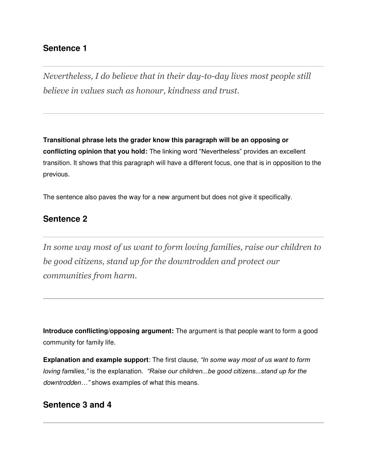#### **Sentence 1**

*Nevertheless, I do believe that in their day-to-day lives most people still believe in values such as honour, kindness and trust.* 

**Transitional phrase lets the grader know this paragraph will be an opposing or conflicting opinion that you hold:** The linking word "Nevertheless" provides an excellent transition. It shows that this paragraph will have a different focus, one that is in opposition to the previous.

The sentence also paves the way for a new argument but does not give it specifically.

#### **Sentence 2**

*In some way most of us want to form loving families, raise our children to be good citizens, stand up for the downtrodden and protect our communities from harm.* 

**Introduce conflicting/opposing argument:** The argument is that people want to form a good community for family life.

**Explanation and example support**: The first clause, *"In some way most of us want to form loving families,"* is the explanation. *"Raise our children...be good citizens...stand up for the*  downtrodd*en…"* shows examples of what this means.

#### **Sentence 3 and 4**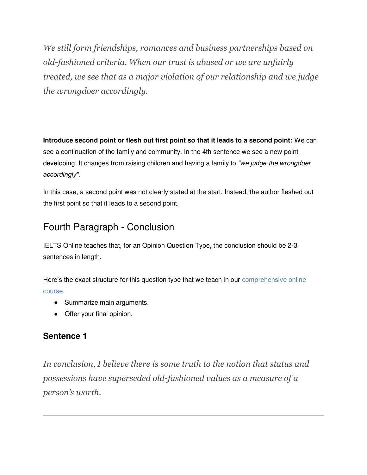*We still form friendships, romances and business partnerships based on old-fashioned criteria. When our trust is abused or we are unfairly treated, we see that as a major violation of our relationship and we judge the wrongdoer accordingly.*

**Introduce second point or flesh out first point so that it leads to a second point:** We can see a continuation of the family and community. In the 4th sentence we see a new point developing. It changes from raising children and having a family to *"we judge* the wrongdoer *accordingly".*

In this case, a second point was not clearly stated at the start. Instead, the author fleshed out the first point so that it leads to a second point.

### Fourth Paragraph - Conclusion

IELTS Online teaches that, for an Opinion Question Type, the conclusion should be 2-3 sentences in length.

Here's the exact structure for this question type that we teach in our comprehensive online course.

- Summarize main arguments.
- Offer your final opinion.

#### **Sentence 1**

*In conclusion, I believe there is some truth to the notion that status and possessions have superseded old-fashioned values as a measure of a person's worth.*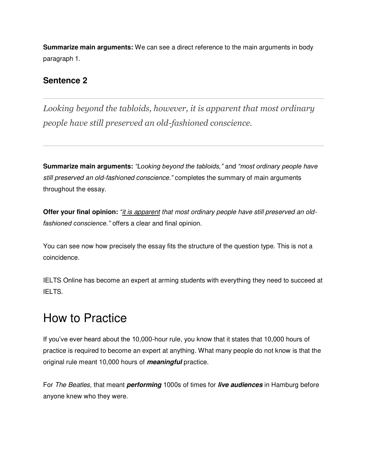**Summarize main arguments:** We can see a direct reference to the main arguments in body paragraph 1.

#### **Sentence 2**

*Looking beyond the tabloids, however, it is apparent that most ordinary people have still preserved an old-fashioned conscience.* 

**Summarize main arguments:** *"Looking beyond the tabloids,"* and *"most ordinary people have*  still preserved an old-fashioned conscience.*"* completes the summary of main arguments throughout the essay.

**Offer your final opinion:** *"*it is apparent that most ordinary people have still preserved an old*fashioned conscience."* offers a clear and final opinion.

You can see now how precisely the essay fits the structure of the question type. This is not a coincidence.

IELTS Online has become an expert at arming students with everything they need to succeed at IELTS.

### How to Practice

If you've ever heard about the 10,000-hour rule, you know that it states that 10,000 hours of practice is required to become an expert at anything. What many people do not know is that the original rule meant 10,000 hours of **meaningful** practice.

For The Beatles, that meant **performing** 1000s of times for **live audiences** in Hamburg before anyone knew who they were.